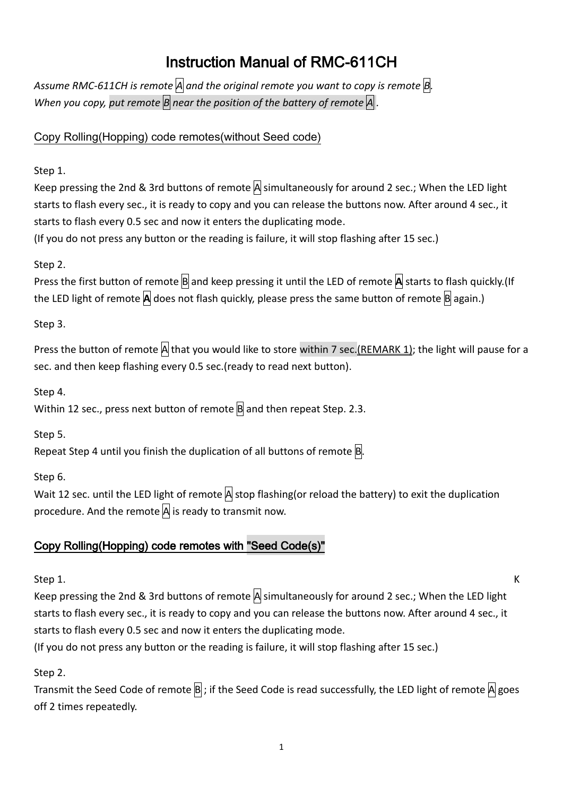# Instruction Manual of RMC-611CH

*Assume RMC-611CH is remote A and the original remote you want to copy is remote B. When you copy, put remote B near the position of the battery of remote A .*

Copy Rolling(Hopping) code remotes(without Seed code)

Step 1.

Keep pressing the 2nd & 3rd buttons of remote  $\overline{A}$  simultaneously for around 2 sec.; When the LED light starts to flash every sec., it is ready to copy and you can release the buttons now. After around 4 sec., it starts to flash every 0.5 sec and now it enters the duplicating mode.

(If you do not press any button or the reading is failure, it will stop flashing after 15 sec.)

### Step 2.

Press the first button of remote **B** and keep pressing it until the LED of remote **A** starts to flash quickly.(If the LED light of remote **A** does not flash quickly, please press the same button of remote **B** again.)

Step 3.

Press the button of remote  $\overline{A}$  that you would like to store within 7 sec. (REMARK 1); the light will pause for a sec. and then keep flashing every 0.5 sec.(ready to read next button).

Step 4.

Within 12 sec., press next button of remote  $\overline{B}$  and then repeat Step. 2.3.

Step 5.

Repeat Step 4 until you finish the duplication of all buttons of remote  $\overline{B}$ .

Step 6.

Wait 12 sec. until the LED light of remote  $\overline{A}$  stop flashing(or reload the battery) to exit the duplication procedure. And the remote  $\overline{A}$  is ready to transmit now.

# Copy Rolling(Hopping) code remotes with "Seed Code(s)"

Step 1. K

Keep pressing the 2nd & 3rd buttons of remote  $\overline{A}$  simultaneously for around 2 sec.; When the LED light starts to flash every sec., it is ready to copy and you can release the buttons now. After around 4 sec., it starts to flash every 0.5 sec and now it enters the duplicating mode.

(If you do not press any button or the reading is failure, it will stop flashing after 15 sec.)

Step 2.

Transmit the Seed Code of remote  $\overline{B}$ ; if the Seed Code is read successfully, the LED light of remote  $\overline{A}$  goes off 2 times repeatedly.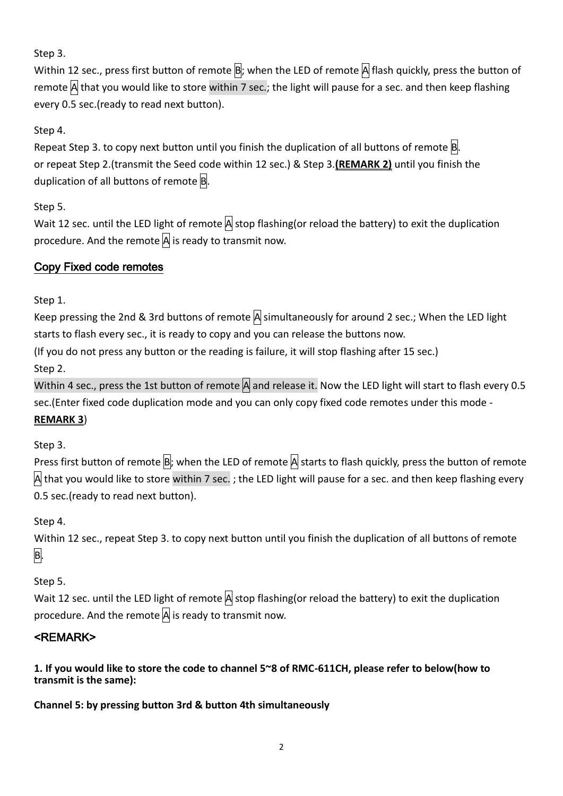Step 3.

Within 12 sec., press first button of remote  $\overline{B}$ ; when the LED of remote  $\overline{A}$  flash quickly, press the button of remote  $\mathsf{A}\mathsf{I}$  that you would like to store within 7 sec.; the light will pause for a sec. and then keep flashing every 0.5 sec.(ready to read next button).

# Step 4.

Repeat Step 3. to copy next button until you finish the duplication of all buttons of remote  $B$ . or repeat Step 2.(transmit the Seed code within 12 sec.) & Step 3.**(REMARK 2)** until you finish the duplication of all buttons of remote  $|B|$ .

Step 5.

Wait 12 sec. until the LED light of remote  $\overline{A}$  stop flashing(or reload the battery) to exit the duplication procedure. And the remote  $\overline{A}$  is ready to transmit now.

## Copy Fixed code remotes

Step 1.

Keep pressing the 2nd & 3rd buttons of remote  $\overline{A}$  simultaneously for around 2 sec.; When the LED light starts to flash every sec., it is ready to copy and you can release the buttons now.

(If you do not press any button or the reading is failure, it will stop flashing after 15 sec.)

Step 2.

Within 4 sec., press the 1st button of remote  $|A|$  and release it. Now the LED light will start to flash every 0.5 sec.(Enter fixed code duplication mode and you can only copy fixed code remotes under this mode -

**REMARK 3**)

Step 3.

Press first button of remote  $\overline{B}$ ; when the LED of remote  $\overline{A}$  starts to flash quickly, press the button of remote A that you would like to store within 7 sec. ; the LED light will pause for a sec. and then keep flashing every 0.5 sec.(ready to read next button).

Step 4.

Within 12 sec., repeat Step 3. to copy next button until you finish the duplication of all buttons of remote B.

Step 5.

Wait 12 sec. until the LED light of remote  $\overline{A}$  stop flashing(or reload the battery) to exit the duplication procedure. And the remote  $\overline{A}$  is ready to transmit now.

# <REMARK>

**1. If you would like to store the code to channel 5~8 of RMC-611CH, please refer to below(how to transmit is the same):**

**Channel 5: by pressing button 3rd & button 4th simultaneously**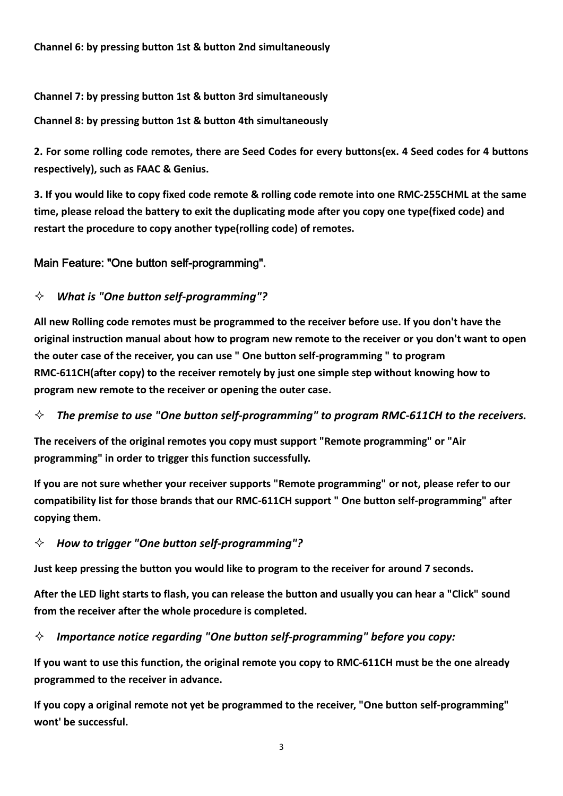#### **Channel 7: by pressing button 1st & button 3rd simultaneously**

**Channel 8: by pressing button 1st & button 4th simultaneously**

**2. For some rolling code remotes, there are Seed Codes for every buttons(ex. 4 Seed codes for 4 buttons respectively), such as FAAC & Genius.** 

**3. If you would like to copy fixed code remote & rolling code remote into one RMC-255CHML at the same time, please reload the battery to exit the duplicating mode after you copy one type(fixed code) and restart the procedure to copy another type(rolling code) of remotes.**

### Main Feature: "One button self-programming".

### *What is "One button self-programming"?*

**All new Rolling code remotes must be programmed to the receiver before use. If you don't have the original instruction manual about how to program new remote to the receiver or you don't want to open the outer case of the receiver, you can use " One button self-programming " to program RMC-611CH(after copy) to the receiver remotely by just one simple step without knowing how to program new remote to the receiver or opening the outer case.**

### *The premise to use "One button self-programming" to program RMC-611CH to the receivers.*

**The receivers of the original remotes you copy must support "Remote programming" or "Air programming" in order to trigger this function successfully.**

**If you are not sure whether your receiver supports "Remote programming" or not, please refer to our compatibility list for those brands that our RMC-611CH support " One button self-programming" after copying them.**

### *How to trigger "One button self-programming"?*

**Just keep pressing the button you would like to program to the receiver for around 7 seconds.**

**After the LED light starts to flash, you can release the button and usually you can hear a "Click" sound from the receiver after the whole procedure is completed.**

*Importance notice regarding "One button self-programming" before you copy:*

**If you want to use this function, the original remote you copy to RMC-611CH must be the one already programmed to the receiver in advance.**

**If you copy a original remote not yet be programmed to the receiver, "One button self-programming" wont' be successful.**